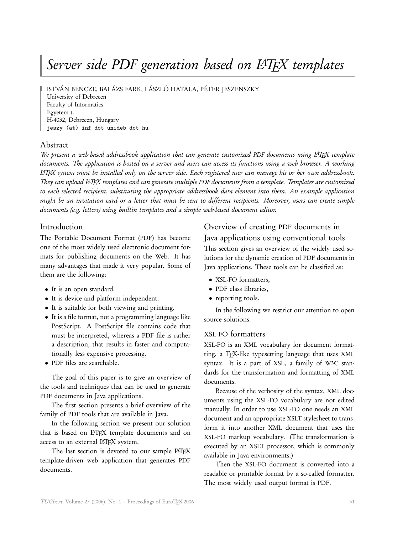# Server side PDF generation based on LATEX templates

ISTVÁN BENCZE, BALÁZS FARK, LÁSZLÓ HATALA, PÉTER JESZENSZKY

University of Debrecen Faculty of Informatics Egyetem t. H-4032, Debrecen, Hungary jeszy (at) inf dot unideb dot hu

# Abstract

We present a web-based addressbook application that can generate customized PDF documents using L<sup>AT</sup>EX template documents. The application is hosted on a server and users can access its functions using a web browser. A working LATEX system must be installed only on the server side. Each registered user can manage his or her own addressbook. They can upload LATEX templates and can generate multiple PDF documents from a template. Templates are customized to each selected recipient, substituting the appropriate addressbook data element into them. An example application might be an invitation card or a letter that must be sent to different recipients. Moreover, users can create simple documents (e.g. letters) using builtin templates and a simple web-based document editor.

# Introduction

The Portable Document Format (PDF) has become one of the most widely used electronic document formats for publishing documents on the Web. It has many advantages that made it very popular. Some of them are the following:

- It is an open standard.
- It is device and platform independent.
- It is suitable for both viewing and printing.
- It is a file format, not a programming language like PostScript. A PostScript file contains code that must be interpreted, whereas a PDF file is rather a description, that results in faster and computationally less expensive processing.
- PDF files are searchable.

The goal of this paper is to give an overview of the tools and techniques that can be used to generate PDF documents in Java applications.

The first section presents a brief overview of the family of PDF tools that are available in Java.

In the following section we present our solution that is based on LATEX template documents and on access to an external LATFX system.

The last section is devoted to our sample LATFX template-driven web application that generates PDF documents.

# Overview of creating PDF documents in Java applications using conventional tools This section gives an overview of the widely used solutions for the dynamic creation of PDF documents in Java applications. These tools can be classified as:

- XSL-FO formatters,
- PDF class libraries,
- reporting tools.

In the following we restrict our attention to open source solutions.

# XSL-FO formatters

XSL-FO is an XML vocabulary for document formatting, a TEX-like typesetting language that uses XML syntax. It is a part of XSL, a family of W3C standards for the transformation and formatting of XML documents.

Because of the verbosity of the syntax, XML documents using the XSL-FO vocabulary are not edited manually. In order to use XSL-FO one needs an XML document and an appropriate XSLT stylesheet to transform it into another XML document that uses the XSL-FO markup vocabulary. (The transformation is executed by an XSLT processor, which is commonly available in Java environments.)

Then the XSL-FO document is converted into a readable or printable format by a so-called formatter. The most widely used output format is PDF.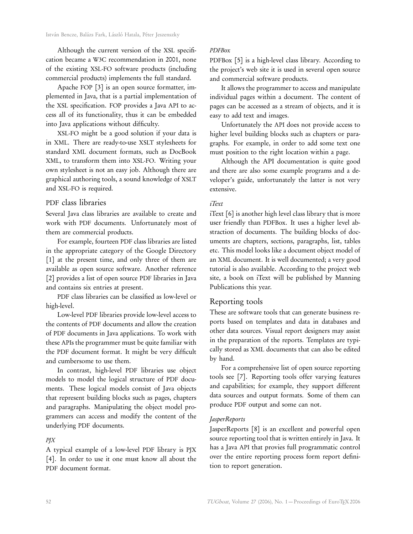Although the current version of the XSL specification became a W3C recommendation in 2001, none of the existing XSL-FO software products (including commercial products) implements the full standard.

Apache FOP [3] is an open source formatter, implemented in Java, that is a partial implementation of the XSL specification. FOP provides a Java API to access all of its functionality, thus it can be embedded into Java applications without difficulty.

XSL-FO might be a good solution if your data is in XML. There are ready-to-use XSLT stylesheets for standard XML document formats, such as DocBook XML, to transform them into XSL-FO. Writing your own stylesheet is not an easy job. Although there are graphical authoring tools, a sound knowledge of XSLT and XSL-FO is required.

# PDF class libraries

Several Java class libraries are available to create and work with PDF documents. Unfortunately most of them are commercial products.

For example, fourteen PDF class libraries are listed in the appropriate category of the Google Directory [1] at the present time, and only three of them are available as open source software. Another reference [2] provides a list of open source PDF libraries in Java and contains six entries at present.

PDF class libraries can be classified as low-level or high-level.

Low-level PDF libraries provide low-level access to the contents of PDF documents and allow the creation of PDF documents in Java applications. To work with these APIs the programmer must be quite familiar with the PDF document format. It might be very difficult and cumbersome to use them.

In contrast, high-level PDF libraries use object models to model the logical structure of PDF documents. These logical models consist of Java objects that represent building blocks such as pages, chapters and paragraphs. Manipulating the object model programmers can access and modify the content of the underlying PDF documents.

#### PJX

A typical example of a low-level PDF library is PJX [4]. In order to use it one must know all about the PDF document format.

#### PDFBox

PDFBox [5] is a high-level class library. According to the project's web site it is used in several open source and commercial software products.

It allows the programmer to access and manipulate individual pages within a document. The content of pages can be accessed as a stream of objects, and it is easy to add text and images.

Unfortunately the API does not provide access to higher level building blocks such as chapters or paragraphs. For example, in order to add some text one must position to the right location within a page.

Although the API documentation is quite good and there are also some example programs and a developer's guide, unfortunately the latter is not very extensive.

# iText

iText [6] is another high level class library that is more user friendly than PDFBox. It uses a higher level abstraction of documents. The building blocks of documents are chapters, sections, paragraphs, list, tables etc. This model looks like a document object model of an XML document. It is well documented; a very good tutorial is also available. According to the project web site, a book on iText will be published by Manning Publications this year.

# Reporting tools

These are software tools that can generate business reports based on templates and data in databases and other data sources. Visual report designers may assist in the preparation of the reports. Templates are typically stored as XML documents that can also be edited by hand.

For a comprehensive list of open source reporting tools see [7]. Reporting tools offer varying features and capabilities; for example, they support different data sources and output formats. Some of them can produce PDF output and some can not.

### **JasperReports**

JasperReports [8] is an excellent and powerful open source reporting tool that is written entirely in Java. It has a Java API that provies full programmatic control over the entire reporting process form report definition to report generation.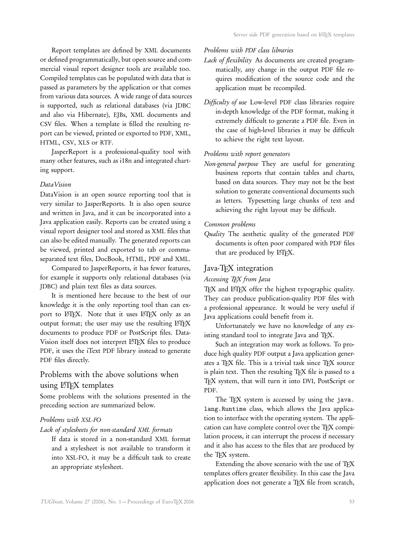Report templates are defined by XML documents or defined programmatically, but open source and commercial visual report designer tools are available too. Compiled templates can be populated with data that is passed as parameters by the application or that comes from various data sources. A wide range of data sources is supported, such as relational databases (via JDBC and also via Hibernate), EJBs, XML documents and CSV files. When a template is filled the resulting report can be viewed, printed or exported to PDF, XML, HTML, CSV, XLS or RTF.

JasperReport is a professional-quality tool with many other features, such as i18n and integrated charting support.

#### DataVision

DataVision is an open source reporting tool that is very similar to JasperReports. It is also open source and written in Java, and it can be incorporated into a Java application easily. Reports can be created using a visual report designer tool and stored as XML files that can also be edited manually. The generated reports can be viewed, printed and exported to tab or commaseparated text files, DocBook, HTML, PDF and XML.

Compared to JasperReports, it has fewer features, for example it supports only relational databases (via JDBC) and plain text files as data sources.

It is mentioned here because to the best of our knowledge it is the only reporting tool than can export to LATEX. Note that it uses LATEX only as an output format; the user may use the resulting LATEX documents to produce PDF or PostScript files. Data-Vision itself does not interpret LATFX files to produce PDF, it uses the iText PDF library instead to generate PDF files directly.

# Problems with the above solutions when using L<sup>AT</sup>FX templates

Some problems with the solutions presented in the preceding section are summarized below.

### Problems with XSL-FO

Lack of stylesheets for non-standard XML formats

If data is stored in a non-standard XML format and a stylesheet is not available to transform it into XSL-FO, it may be a difficult task to create an appropriate stylesheet.

#### Problems with PDF class libraries

- Lack of flexibility As documents are created programmatically, any change in the output PDF file requires modification of the source code and the application must be recompiled.
- Difficulty of use Low-level PDF class libraries require in-depth knowledge of the PDF format, making it extremely difficult to generate a PDF file. Even in the case of high-level libraries it may be difficult to achieve the right text layout.

# Problems with report generators

Non-general purpose They are useful for generating business reports that contain tables and charts, based on data sources. They may not be the best solution to generate conventional documents such as letters. Typesetting large chunks of text and achieving the right layout may be difficult.

#### Common problems

Quality The aesthetic quality of the generated PDF documents is often poor compared with PDF files that are produced by IATEX.

#### Java-TEX integration

#### Accessing TEX from Java

TFX and LHFX offer the highest typographic quality. They can produce publication-quality PDF files with a professional appearance. It would be very useful if Java applications could benefit from it.

Unfortunately we have no knowledge of any existing standard tool to integrate Java and TFX.

Such an integration may work as follows. To produce high quality PDF output a Java application generates a TEX file. This is a trivial task since TEX source is plain text. Then the resulting TFX file is passed to a TFX system, that will turn it into DVI, PostScript or PDF.

The TEX system is accessed by using the java. lang.Runtime class, which allows the Java application to interface with the operating system. The application can have complete control over the TEX compilation process, it can interrupt the process if necessary and it also has access to the files that are produced by the TEX system.

Extending the above scenario with the use of TEX templates offers greater flexibility. In this case the Java application does not generate a TEX file from scratch,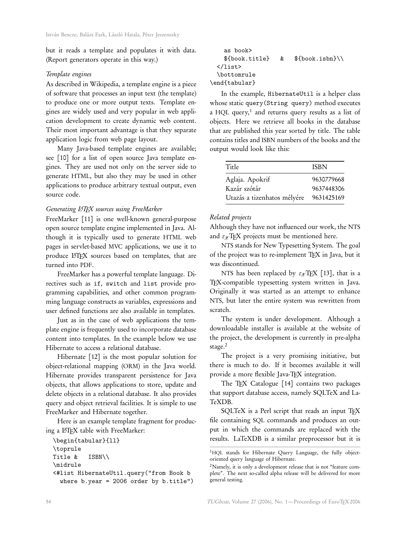but it reads a template and populates it with data. (Report generators operate in this way.)

#### Template engines

As described in Wikipedia, a template engine is a piece of software that processes an input text (the template) to produce one or more output texts. Template engines are widely used and very popular in web application development to create dynamic web content. Their most important advantage is that they separate application logic from web page layout.

Many Java-based template engines are available; see [10] for a list of open source Java template engines. They are used not only on the server side to generate HTML, but also they may be used in other applications to produce arbitrary textual output, even source code.

#### Generating L<sup>A</sup>TEX sources using FreeMarker

FreeMarker [11] is one well-known general-purpose open source template engine implemented in Java. Although it is typically used to generate HTML web pages in servlet-based MVC applications, we use it to produce LATEX sources based on templates, that are turned into PDF.

FreeMarker has a powerful template language. Directives such as if, switch and list provide programming capabilities, and other common programming language constructs as variables, expressions and user defined functions are also available in templates.

Just as in the case of web applications the template engine is frequently used to incorporate database content into templates. In the example below we use Hibernate to access a relational database.

Hibernate [12] is the most popular solution for object-relational mapping (ORM) in the Java world. Hibernate provides transparent persistence for Java objects, that allows applications to store, update and delete objects in a relational database. It also provides query and object retrieval facilities. It is simple to use FreeMarker and Hibernate together.

Here is an example template fragment for producing a L<sup>AT</sup>EX table with FreeMarker:

```
\begin{tabular}{ll}
\toprule
Title & ISBN\\
\midrule
<#list HibernateUtil.query("from Book b
  where b.year = 2006 order by b.title")
```

```
as book>
    ${book.title} & ${book.isbn}\\
  \langle/list>
  \bottomrule
\end{tabular}
```
In the example, HibernateUtil is a helper class whose static query(String query) method executes a HQL query, $^1$  and returns query results as a list of objects. Here we retrieve all books in the database that are published this year sorted by title. The table contains titles and ISBN numbers of the books and the output would look like this:

| Title                       | <b>ISBN</b> |
|-----------------------------|-------------|
|                             |             |
| Aglaja. Apokrif             | 9630779668  |
| Kazár szótár                | 9637448306  |
| Utazás a tizenhatos mélyére | 9631425169  |

#### Related projects

Although they have not influenced our work, the NTS and  $\varepsilon_{\mathcal{X}}$ TEX projects must be mentioned here.

NTS stands for New Typesetting System. The goal of the project was to re-implement TEX in Java, but it was discontinued.

NTS has been replaced by  $\varepsilon_{\mathcal{X}}$ TEX [13], that is a TEX-compatible typesetting system written in Java. Originally it was started as an attempt to enhance NTS, but later the entire system was rewritten from scratch.

The system is under development. Although a downloadable installer is available at the website of the project, the development is currently in pre-alpha stage.<sup>2</sup>

The project is a very promising initiative, but there is much to do. If it becomes available it will provide a more flexible Java-TEX integration.

The TEX Catalogue [14] contains two packages that support database access, namely SQLTeX and La-TeXDB.

SQLTeX is a Perl script that reads an input TEX file containing SQL commands and produces an output in which the commands are replaced with the results. LaTeXDB is a similar preprocessor but it is

<sup>&</sup>lt;sup>1</sup>HQL stands for Hibernate Query Language, the fully objectoriented query language of Hibernate.

<sup>2</sup>Namely, it is only a development release that is not "feature complete". The next so-called alpha release will be delivered for more general testing.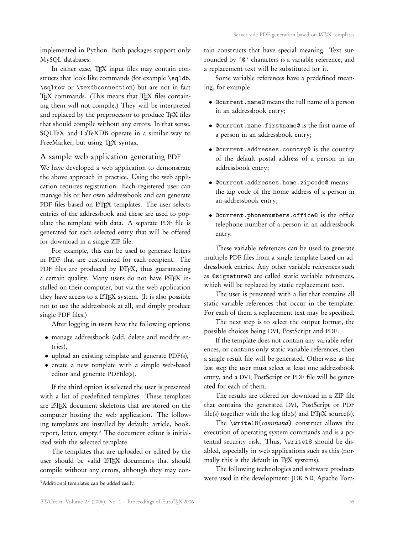implemented in Python. Both packages support only MySQL databases.

In either case, TFX input files may contain constructs that look like commands (for example \sqldb, \sqlrow or \texdbconnection) but are not in fact TEX commands. (This means that TEX files containing them will not compile.) They will be interpreted and replaced by the preprocessor to produce TEX files that should compile without any errors. In that sense, SQLTeX and LaTeXDB operate in a similar way to FreeMarker, but using TFX syntax.

# A sample web application generating PDF

We have developed a web application to demonstrate the above approach in practice. Using the web application requires registration. Each registered user can manage his or her own addressbook and can generate PDF files based on LATFX templates. The user selects entries of the addressbook and these are used to populate the template with data. A separate PDF file is generated for each selected entry that will be offered for download in a single ZIP file.

For example, this can be used to generate letters in PDF that are customized for each recipient. The PDF files are produced by LATEX, thus guaranteeing a certain quality. Many users do not have LATEX installed on their computer, but via the web application they have access to a LATEX system. (It is also possible not to use the addressbook at all, and simply produce single PDF files.)

After logging in users have the following options:

- manage addressbook (add, delete and modify entries),
- upload an existing template and generate PDF(s),
- create a new template with a simple web-based editor and generate PDFfile(s).

If the third option is selected the user is presented with a list of predefined templates. These templates are LATEX document skeletons that are stored on the computer hosting the web application. The following templates are installed by default: article, book, report, letter, empty.<sup>3</sup> The document editor is initialized with the selected template.

The templates that are uploaded or edited by the user should be valid LAT<sub>EX</sub> documents that should compile without any errors, although they may con-

Some variable references have a predefined meaning, for example

- @current.name@ means the full name of a person in an addressbook entry;
- @current.name.firstname@ is the first name of a person in an addressbook entry;
- @current.addresses.country@ is the country of the default postal address of a person in an addressbook entry;
- @current.addresses.home.zipcode@ means the zip code of the home address of a person in an addressbook entry;
- @current.phonenumbers.office@ is the office telephone number of a person in an addressbook entry.

These variable references can be used to generate multiple PDF files from a single template based on addressbook entries. Any other variable references such as @signature@ are called static variable references, which will be replaced by static replacement text.

The user is presented with a list that contains all static variable references that occur in the template. For each of them a replacement text may be specified.

The next step is to select the output format, the possible choices being DVI, PostScript and PDF.

If the template does not contain any variable references, or contains only static variable references, then a single result file will be generated. Otherwise as the last step the user must select at least one addressbook entry, and a DVI, PostScript or PDF file will be generated for each of them.

The results are offered for download in a ZIP file that contains the generated DVI, PostScript or PDF file(s) together with the  $log$  file(s) and  $ETFX$  source(s).

The \write18{command} construct allows the execution of operating system commands and is a potential security risk. Thus, \write18 should be disabled, especially in web applications such as this (normally this is the default in TEX systems).

The following technologies and software products were used in the development: JDK 5.0, Apache Tom-

tain constructs that have special meaning. Text surrounded by '@' characters is a variable reference, and a replacement text will be substituted for it.

<sup>&</sup>lt;sup>3</sup>Additional templates can be added easily.